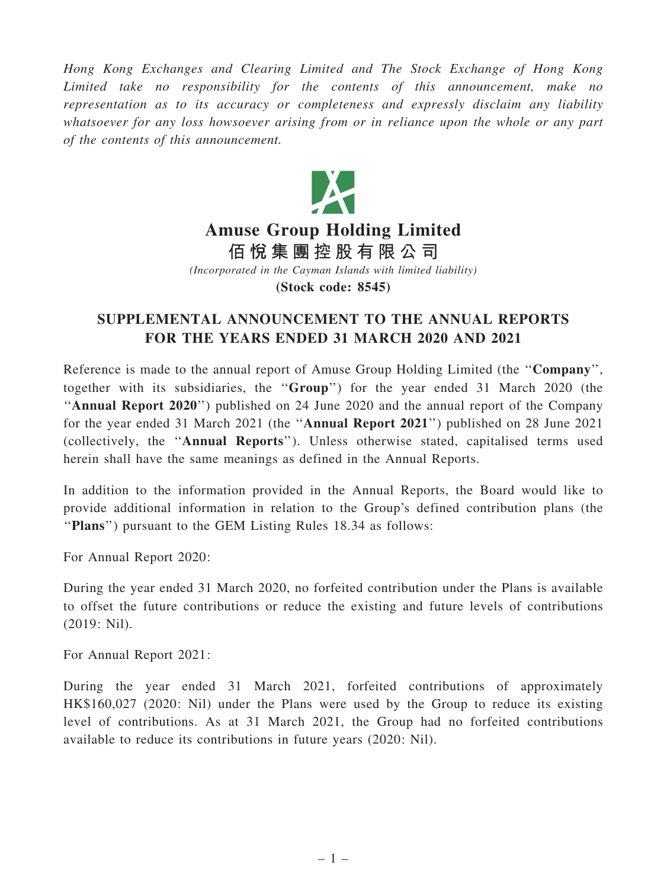Hong Kong Exchanges and Clearing Limited and The Stock Exchange of Hong Kong Limited take no responsibility for the contents of this announcement, make no representation as to its accuracy or completeness and expressly disclaim any liability whatsoever for any loss howsoever arising from or in reliance upon the whole or any part of the contents of this announcement.



## Amuse Group Holding Limited

佰 悅 集 團 控 股 有 限 公 司

(Incorporated in the Cayman Islands with limited liability)

(Stock code: 8545)

## SUPPLEMENTAL ANNOUNCEMENT TO THE ANNUAL REPORTS FOR THE YEARS ENDED 31 MARCH 2020 AND 2021

Reference is made to the annual report of Amuse Group Holding Limited (the ''Company'', together with its subsidiaries, the ''Group'') for the year ended 31 March 2020 (the ''Annual Report 2020'') published on 24 June 2020 and the annual report of the Company for the year ended 31 March 2021 (the ''Annual Report 2021'') published on 28 June 2021 (collectively, the ''Annual Reports''). Unless otherwise stated, capitalised terms used herein shall have the same meanings as defined in the Annual Reports.

In addition to the information provided in the Annual Reports, the Board would like to provide additional information in relation to the Group's defined contribution plans (the "Plans") pursuant to the GEM Listing Rules 18.34 as follows:

For Annual Report 2020:

During the year ended 31 March 2020, no forfeited contribution under the Plans is available to offset the future contributions or reduce the existing and future levels of contributions (2019: Nil).

For Annual Report 2021:

During the year ended 31 March 2021, forfeited contributions of approximately HK\$160,027 (2020: Nil) under the Plans were used by the Group to reduce its existing level of contributions. As at 31 March 2021, the Group had no forfeited contributions available to reduce its contributions in future years (2020: Nil).